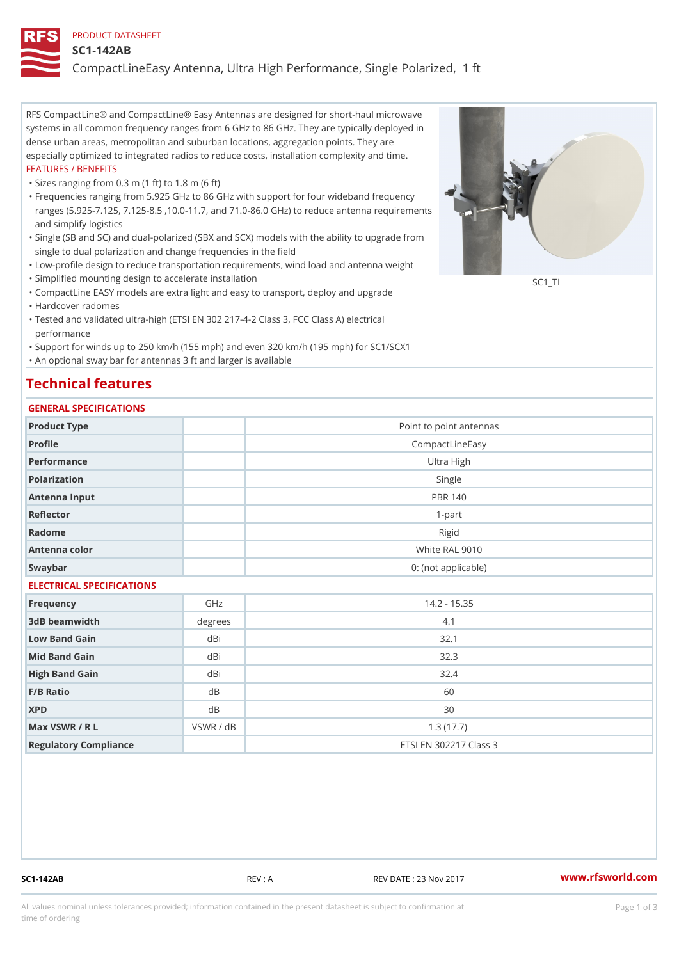#### PRODUCT DATASHEET

#### SC1-142AB

CompactLineEasy Antenna, Ultra High Performance, Single Polarized,

RFS CompactLine® and CompactLine® Easy Antennas are designed for short-haul microwave systems in all common frequency ranges from 6 GHz to 86 GHz. They are typically deployed in dense urban areas, metropolitan and suburban locations, aggregation points. They are especially optimized to integrated radios to reduce costs, installation complexity and time. FEATURES / BENEFITS

"Sizes ranging from 0.3 m (1 ft) to 1.8 m (6 ft)

- Frequencies ranging from 5.925 GHz to 86 GHz with support for four wideband frequency " ranges (5.925-7.125, 7.125-8.5 ,10.0-11.7, and 71.0-86.0 GHz) to reduce antenna requirements and simplify logistics
- Single (SB and SC) and dual-polarized (SBX and SCX) models with the ability to upgrade from " single to dual polarization and change frequencies in the field
- "Low-profile design to reduce transportation requirements, wind load and antenna weight
- "Simplified mounting design to accelerate installation

 "CompactLine EASY models are extra light and easy to transport, deploy and upgrade "Hardcover radomes

Tested and validated ultra-high (ETSI EN 302 217-4-2 Class 3, FCC Class A) electrical " performance

 "Support for winds up to 250 km/h (155 mph) and even 320 km/h (195 mph) for SC1/SCX1 "An optional sway bar for antennas 3 ft and larger is available

## Technical features

### GENERAL SPECIFICATIONS

| OLIVLINAL OI LOII IOA I IONO |           |                         |
|------------------------------|-----------|-------------------------|
| Product Type                 |           | Point to point antennas |
| Profile                      |           | CompactLineEasy         |
| Performance                  |           | Ultra High              |
| Polarization                 |           | Single                  |
| Antenna Input                |           | <b>PBR 140</b>          |
| Reflector                    |           | $1 - p$ art             |
| Radome                       |           | Rigid                   |
| Antenna color                |           | White RAL 9010          |
| Swaybar                      |           | 0: (not applicable)     |
| ELECTRICAL SPECIFICATIONS    |           |                         |
| Frequency                    | GHz       | $14.2 - 15.35$          |
| 3dB beamwidth                | degrees   | 4.1                     |
| Low Band Gain                | dBi       | 32.1                    |
| Mid Band Gain                | dBi       | 32.3                    |
| High Band Gain               | dBi       | 32.4                    |
| F/B Ratio                    | $d$ B     | 60                      |
| <b>XPD</b>                   | $d$ B     | 30                      |
| Max VSWR / R L               | VSWR / dB | 1.3(17.7)               |
| Regulatory Compliance        |           | ETSI EN 302217 Class 3  |

SC1-142AB REV : A REV DATE : 23 Nov 2017 [www.](https://www.rfsworld.com)rfsworld.com

SC<sub>1</sub>TI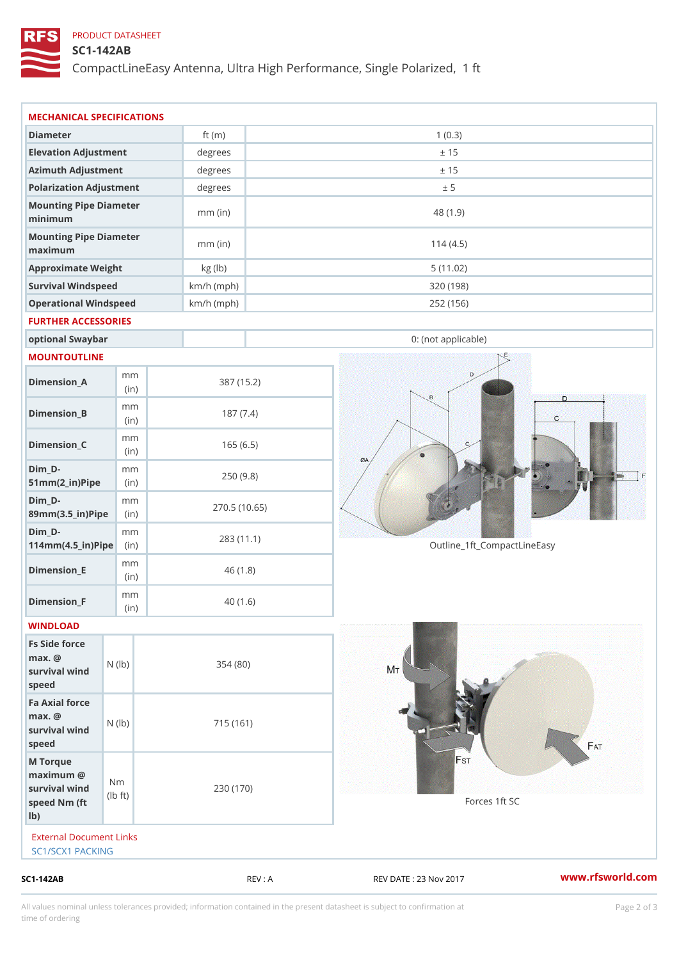## PRODUCT DATASHEET

### SC1-142AB

CompactLineEasy Antenna, Ultra High Performance, Single Polarized,

| SC1-142AB                                                          |                                    |                            | REV : A    | REV DATE : 23 Nov 2017      | www.rfsworld.co |  |
|--------------------------------------------------------------------|------------------------------------|----------------------------|------------|-----------------------------|-----------------|--|
| External Document Links<br>SC1/SCX1 PACKING                        |                                    |                            |            |                             |                 |  |
| M Torque<br>$maximum$ @<br>survival wind<br>speed Nm (ft<br>$1b$ ) | N <sub>m</sub><br>$\pm t$ )<br>l b | 230 (170)                  |            | Forces 1ft SC               |                 |  |
| Fa Axial force<br>$max.$ @<br>survival wind (1b)<br>speed          |                                    | 715 (161)                  |            |                             |                 |  |
| Fs Side force<br>$max.$ @<br>survival wind (1b)<br>speed           |                                    | 354(80)                    |            |                             |                 |  |
| WINDLOAD                                                           |                                    |                            |            |                             |                 |  |
| $Dimension_F$                                                      | m m<br>(in)                        |                            | 40(1.6)    |                             |                 |  |
| $Dimension$ _ $E$                                                  | m m<br>(in)                        |                            | 46(1.8)    |                             |                 |  |
| $Dim_D - D -$<br>$114$ m m (4.5 _ ir ) $\sqrt{$ ii p $\sqrt{ }$    | m m                                | 270.5(10.65)<br>283 (11.1) |            | Outline_1ft_CompactLineEasy |                 |  |
| $Dim_D - D -$<br>89mm (3.5_in) Pi(pine)                            | m m                                |                            |            |                             |                 |  |
| $Dim_D -$<br>$51mm(2_in)Pip@in$                                    | m m                                |                            | 250(9.8)   |                             |                 |  |
| $Dimension_C$                                                      | m m<br>(in)                        |                            | 165(6.5)   |                             |                 |  |
| $Dimension_B$                                                      | m m<br>(in)                        |                            | 187(7.4)   |                             |                 |  |
| $Dimension_A$                                                      | m m<br>(in)                        |                            | 387 (15.2) |                             |                 |  |
| MOUNTOUTLINE                                                       |                                    |                            |            |                             |                 |  |
| optional Swaybar                                                   |                                    |                            |            | 0: (not applicable)         |                 |  |
| FURTHER ACCESSORIES                                                |                                    |                            |            |                             |                 |  |
| Operational Windspeed                                              |                                    | $km/h$ (mph)               |            | 252 (156)                   |                 |  |
| Survival Windspeed                                                 |                                    | $km/h$ (mph)               |            | 320 (198)                   |                 |  |
| maximum<br>Approximate Weight                                      |                                    | kg (lb)                    |            | 5(11.02)                    |                 |  |
| minimum<br>Mounting Pipe Diameter                                  |                                    | $mm$ (in)                  |            | 114(4.5)                    |                 |  |
| Mounting Pipe Diameter                                             |                                    | $mm$ (in)                  |            | 48 (1.9)                    |                 |  |
| Polarization Adjustment                                            |                                    | degrees                    |            | ± 5                         |                 |  |
| Azimuth Adjustment                                                 |                                    | degrees                    |            | ± 15                        |                 |  |
|                                                                    |                                    | degrees                    |            | ± 15                        |                 |  |
| Elevation Adjustment                                               |                                    | ft $(m)$                   |            | 1(0.3)                      |                 |  |

All values nominal unless tolerances provided; information contained in the present datasheet is subject to Pcapgelio an atio time of ordering